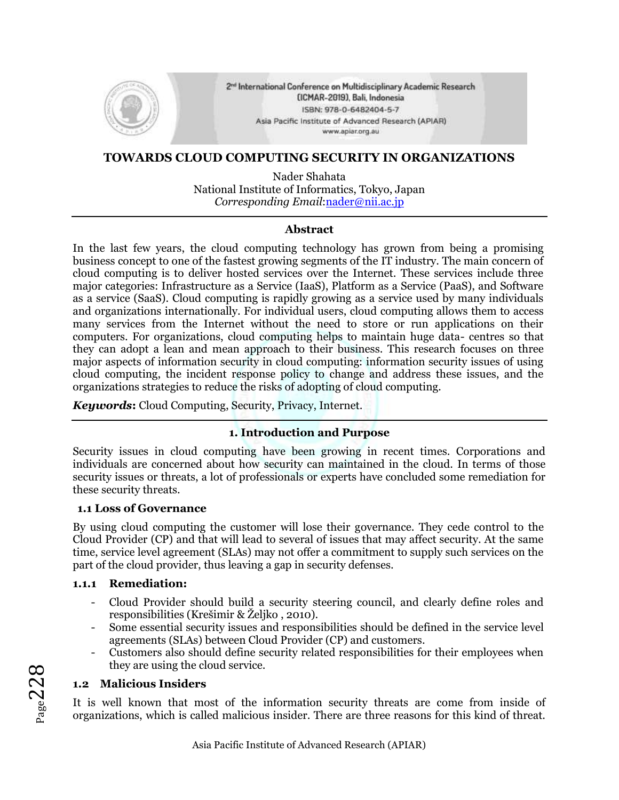

2<sup>nd</sup> International Conference on Multidisciplinary Academic Research (ICMAR-2019), Bali, Indonesia ISBN: 978-0-6482404-5-7 Asia Pacific Institute of Advanced Research (APIAR) www.aplar.org.au

#### **TOWARDS CLOUD COMPUTING SECURITY IN ORGANIZATIONS**

Nader Shahata National Institute of Informatics, Tokyo, Japan *Corresponding Email*[:nader@nii.ac.jp](mailto:nader@nii.ac.jp)

#### **Abstract**

In the last few years, the cloud computing technology has grown from being a promising business concept to one of the fastest growing segments of the IT industry. The main concern of cloud computing is to deliver hosted services over the Internet. These services include three major categories: Infrastructure as a Service (IaaS), Platform as a Service (PaaS), and Software as a service (SaaS). Cloud computing is rapidly growing as a service used by many individuals and organizations internationally. For individual users, cloud computing allows them to access many services from the Internet without the need to store or run applications on their computers. For organizations, cloud computing helps to maintain huge data- centres so that they can adopt a lean and mean approach to their business. This research focuses on three major aspects of information security in cloud computing: information security issues of using cloud computing, the incident response policy to change and address these issues, and the organizations strategies to reduce the risks of adopting of cloud computing*.*

*Keywords***:** Cloud Computing, Security, Privacy, Internet.

# **1. Introduction and Purpose**

Security issues in cloud computing have been growing in recent times. Corporations and individuals are concerned about how security can maintained in the cloud. In terms of those security issues or threats, a lot of professionals or experts have concluded some remediation for these security threats.

### **1.1 Loss of Governance**

By using cloud computing the customer will lose their governance. They cede control to the Cloud Provider (CP) and that will lead to several of issues that may affect security. At the same time, service level agreement (SLAs) may not offer a commitment to supply such services on the part of the cloud provider, thus leaving a gap in security defenses.

#### **1.1.1 Remediation:**

- Cloud Provider should build a security steering council, and clearly define roles and responsibilities (Krešimir & Željko , 2010).
- Some essential security issues and responsibilities should be defined in the service level agreements (SLAs) between Cloud Provider (CP) and customers.
- Customers also should define security related responsibilities for their employees when they are using the cloud service.

# **1.2 Malicious Insiders**

It is well known that most of the information security threats are come from inside of organizations, which is called malicious insider. There are three reasons for this kind of threat.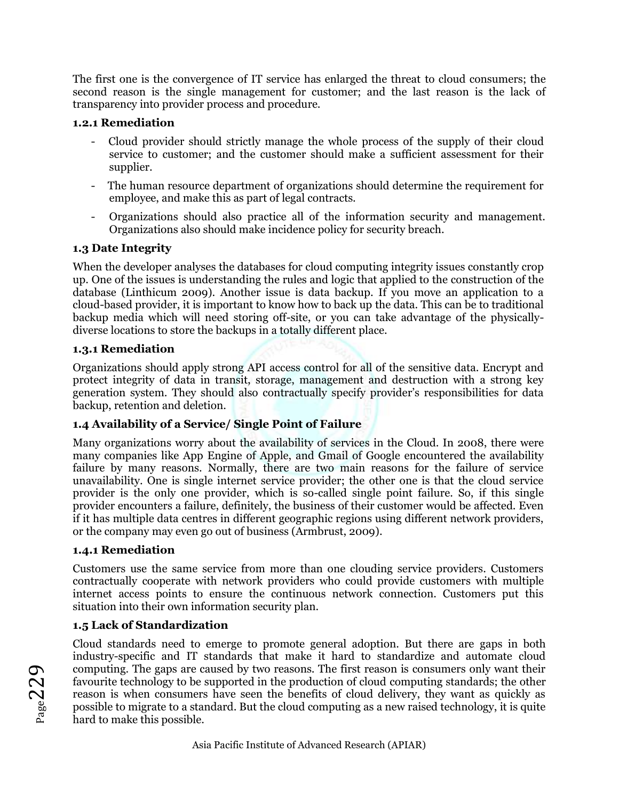The first one is the convergence of IT service has enlarged the threat to cloud consumers; the second reason is the single management for customer; and the last reason is the lack of transparency into provider process and procedure.

### **1.2.1 Remediation**

- Cloud provider should strictly manage the whole process of the supply of their cloud service to customer; and the customer should make a sufficient assessment for their supplier.
- The human resource department of organizations should determine the requirement for employee, and make this as part of legal contracts.
- Organizations should also practice all of the information security and management. Organizations also should make incidence policy for security breach.

# **1.3 Date Integrity**

When the developer analyses the databases for cloud computing integrity issues constantly crop up. One of the issues is understanding the rules and logic that applied to the construction of the database (Linthicum 2009). Another issue is data backup. If you move an application to a cloud-based provider, it is important to know how to back up the data. This can be to traditional backup media which will need storing off-site, or you can take advantage of the physicallydiverse locations to store the backups in a totally different place.

### **1.3.1 Remediation**

Organizations should apply strong API access control for all of the sensitive data. Encrypt and protect integrity of data in transit, storage, management and destruction with a strong key generation system. They should also contractually specify provider's responsibilities for data backup, retention and deletion.

# **1.4 Availability of a Service/ Single Point of Failure**

Many organizations worry about the availability of services in the Cloud. In 2008, there were many companies like App Engine of Apple, and Gmail of Google encountered the availability failure by many reasons. Normally, there are two main reasons for the failure of service unavailability. One is single internet service provider; the other one is that the cloud service provider is the only one provider, which is so-called single point failure. So, if this single provider encounters a failure, definitely, the business of their customer would be affected. Even if it has multiple data centres in different geographic regions using different network providers, or the company may even go out of business (Armbrust, 2009).

# **1.4.1 Remediation**

Customers use the same service from more than one clouding service providers. Customers contractually cooperate with network providers who could provide customers with multiple internet access points to ensure the continuous network connection. Customers put this situation into their own information security plan.

# **1.5 Lack of Standardization**

Cloud standards need to emerge to promote general adoption. But there are gaps in both industry-specific and IT standards that make it hard to standardize and automate cloud computing. The gaps are caused by two reasons. The first reason is consumers only want their favourite technology to be supported in the production of cloud computing standards; the other reason is when consumers have seen the benefits of cloud delivery, they want as quickly as possible to migrate to a standard. But the cloud computing as a new raised technology, it is quite hard to make this possible.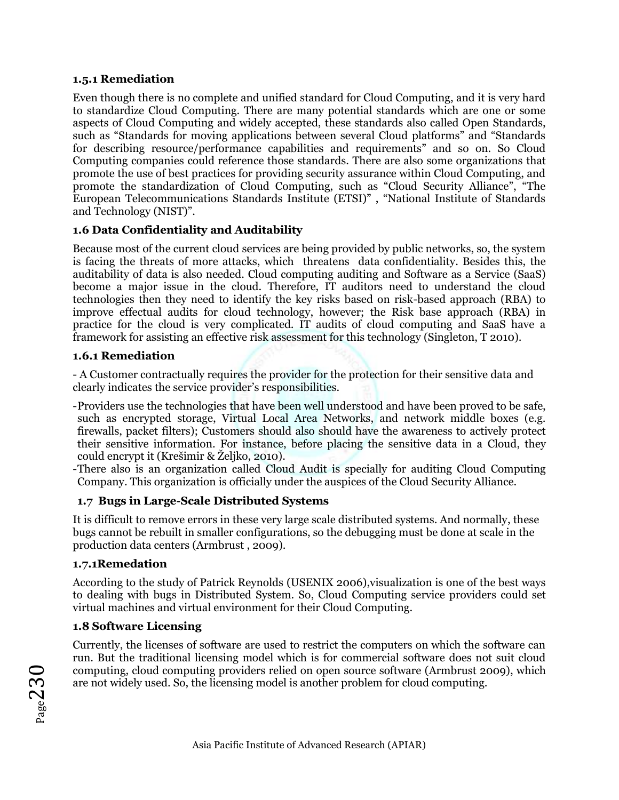### **1.5.1 Remediation**

Even though there is no complete and unified standard for Cloud Computing, and it is very hard to standardize Cloud Computing. There are many potential standards which are one or some aspects of Cloud Computing and widely accepted, these standards also called Open Standards, such as "Standards for moving applications between several Cloud platforms" and "Standards for describing resource/performance capabilities and requirements" and so on. So Cloud Computing companies could reference those standards. There are also some organizations that promote the use of best practices for providing security assurance within Cloud Computing, and promote the standardization of Cloud Computing, such as "Cloud Security Alliance", "The European Telecommunications Standards Institute (ETSI)" , "National Institute of Standards and Technology (NIST)".

# **1.6 Data Confidentiality and Auditability**

Because most of the current cloud services are being provided by public networks, so, the system is facing the threats of more attacks, which threatens data confidentiality. Besides this, the auditability of data is also needed. Cloud computing auditing and Software as a Service (SaaS) become a major issue in the cloud. Therefore, IT auditors need to understand the cloud technologies then they need to identify the key risks based on risk-based approach (RBA) to improve effectual audits for cloud technology, however; the Risk base approach (RBA) in practice for the cloud is very complicated. IT audits of cloud computing and SaaS have a framework for assisting an effective risk assessment for this technology (Singleton, T 2010).

### **1.6.1 Remediation**

- A Customer contractually requires the provider for the protection for their sensitive data and clearly indicates the service provider's responsibilities.

- -Providers use the technologies that have been well understood and have been proved to be safe, such as encrypted storage, Virtual Local Area Networks, and network middle boxes (e.g. firewalls, packet filters); Customers should also should have the awareness to actively protect their sensitive information. For instance, before placing the sensitive data in a Cloud, they could encrypt it (Krešimir & Željko, 2010).
- -There also is an organization called Cloud Audit is specially for auditing Cloud Computing Company. This organization is officially under the auspices of the Cloud Security Alliance.

# **1.7 Bugs in Large-Scale Distributed Systems**

It is difficult to remove errors in these very large scale distributed systems. And normally, these bugs cannot be rebuilt in smaller configurations, so the debugging must be done at scale in the production data centers (Armbrust , 2009).

### **1.7.1Remedation**

According to the study of Patrick Reynolds (USENIX 2006),visualization is one of the best ways to dealing with bugs in Distributed System. So, Cloud Computing service providers could set virtual machines and virtual environment for their Cloud Computing.

### **1.8 Software Licensing**

Currently, the licenses of software are used to restrict the computers on which the software can run. But the traditional licensing model which is for commercial software does not suit cloud computing, cloud computing providers relied on open source software (Armbrust 2009), which are not widely used. So, the licensing model is another problem for cloud computing.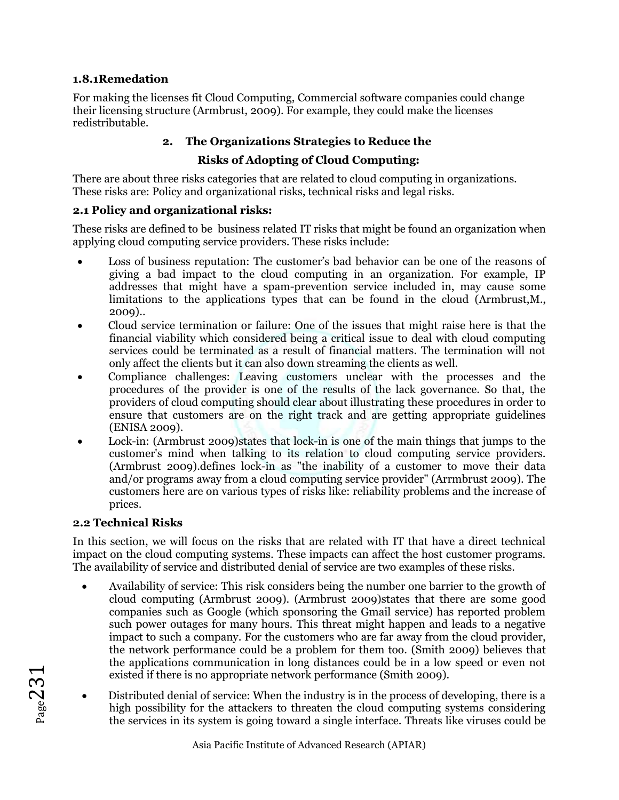### **1.8.1Remedation**

For making the licenses fit Cloud Computing, Commercial software companies could change their licensing structure (Armbrust, 2009). For example, they could make the licenses redistributable.

# **2. The Organizations Strategies to Reduce the**

# **Risks of Adopting of Cloud Computing:**

There are about three risks categories that are related to cloud computing in organizations. These risks are: Policy and organizational risks, technical risks and legal risks.

# **2.1 Policy and organizational risks:**

These risks are defined to be business related IT risks that might be found an organization when applying cloud computing service providers. These risks include:

- Loss of business reputation: The customer's bad behavior can be one of the reasons of giving a bad impact to the cloud computing in an organization. For example, IP addresses that might have a spam-prevention service included in, may cause some limitations to the applications types that can be found in the cloud (Armbrust,M., 2009)..
- Cloud service termination or failure: One of the issues that might raise here is that the financial viability which considered being a critical issue to deal with cloud computing services could be terminated as a result of financial matters. The termination will not only affect the clients but it can also down streaming the clients as well.
- Compliance challenges: Leaving customers unclear with the processes and the procedures of the provider is one of the results of the lack governance. So that, the providers of cloud computing should clear about illustrating these procedures in order to ensure that customers are on the right track and are getting appropriate guidelines (ENISA 2009).
- Lock-in: (Armbrust 2009)states that lock-in is one of the main things that jumps to the customer's mind when talking to its relation to cloud computing service providers. (Armbrust 2009).defines lock-in as "the inability of a customer to move their data and/or programs away from a cloud computing service provider" (Arrmbrust 2009). The customers here are on various types of risks like: reliability problems and the increase of prices.

# **2.2 Technical Risks**

In this section, we will focus on the risks that are related with IT that have a direct technical impact on the cloud computing systems. These impacts can affect the host customer programs. The availability of service and distributed denial of service are two examples of these risks.

- Availability of service: This risk considers being the number one barrier to the growth of cloud computing (Armbrust 2009). (Armbrust 2009)states that there are some good companies such as Google (which sponsoring the Gmail service) has reported problem such power outages for many hours. This threat might happen and leads to a negative impact to such a company. For the customers who are far away from the cloud provider, the network performance could be a problem for them too. (Smith 2009) believes that the applications communication in long distances could be in a low speed or even not existed if there is no appropriate network performance (Smith 2009).
- Distributed denial of service: When the industry is in the process of developing, there is a high possibility for the attackers to threaten the cloud computing systems considering the services in its system is going toward a single interface. Threats like viruses could be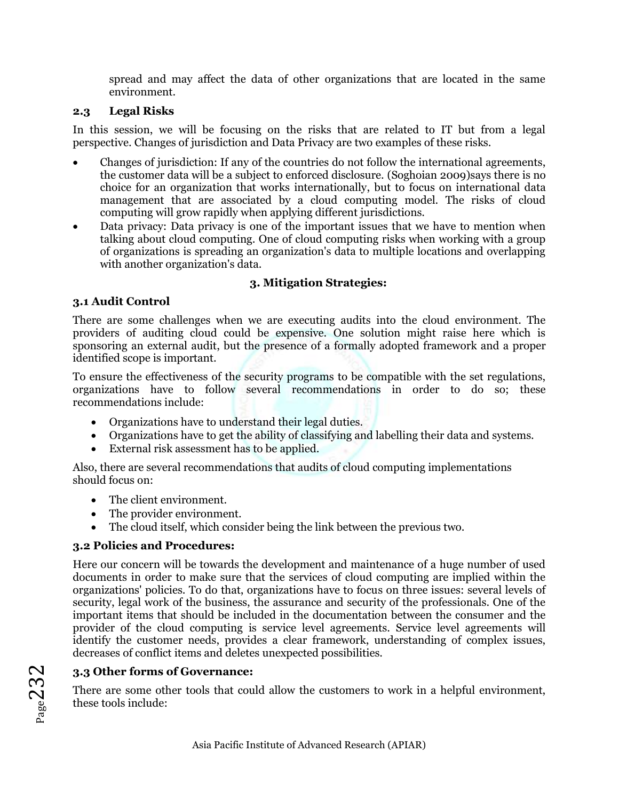spread and may affect the data of other organizations that are located in the same environment.

### **2.3 Legal Risks**

In this session, we will be focusing on the risks that are related to IT but from a legal perspective. Changes of jurisdiction and Data Privacy are two examples of these risks.

- Changes of jurisdiction: If any of the countries do not follow the international agreements, the customer data will be a subject to enforced disclosure. (Soghoian 2009)says there is no choice for an organization that works internationally, but to focus on international data management that are associated by a cloud computing model. The risks of cloud computing will grow rapidly when applying different jurisdictions.
- Data privacy: Data privacy is one of the important issues that we have to mention when talking about cloud computing. One of cloud computing risks when working with a group of organizations is spreading an organization's data to multiple locations and overlapping with another organization's data.

### **3. Mitigation Strategies:**

# **3.1 Audit Control**

There are some challenges when we are executing audits into the cloud environment. The providers of auditing cloud could be expensive. One solution might raise here which is sponsoring an external audit, but the presence of a formally adopted framework and a proper identified scope is important.

To ensure the effectiveness of the security programs to be compatible with the set regulations, organizations have to follow several recommendations in order to do so; these recommendations include:

- Organizations have to understand their legal duties.
- Organizations have to get the ability of classifying and labelling their data and systems.
- External risk assessment has to be applied.

Also, there are several recommendations that audits of cloud computing implementations should focus on:

- The client environment.
- The provider environment.
- The cloud itself, which consider being the link between the previous two.

### **3.2 Policies and Procedures:**

Here our concern will be towards the development and maintenance of a huge number of used documents in order to make sure that the services of cloud computing are implied within the organizations' policies. To do that, organizations have to focus on three issues: several levels of security, legal work of the business, the assurance and security of the professionals. One of the important items that should be included in the documentation between the consumer and the provider of the cloud computing is service level agreements. Service level agreements will identify the customer needs, provides a clear framework, understanding of complex issues, decreases of conflict items and deletes unexpected possibilities.

# **3.3 Other forms of Governance:**

There are some other tools that could allow the customers to work in a helpful environment, these tools include: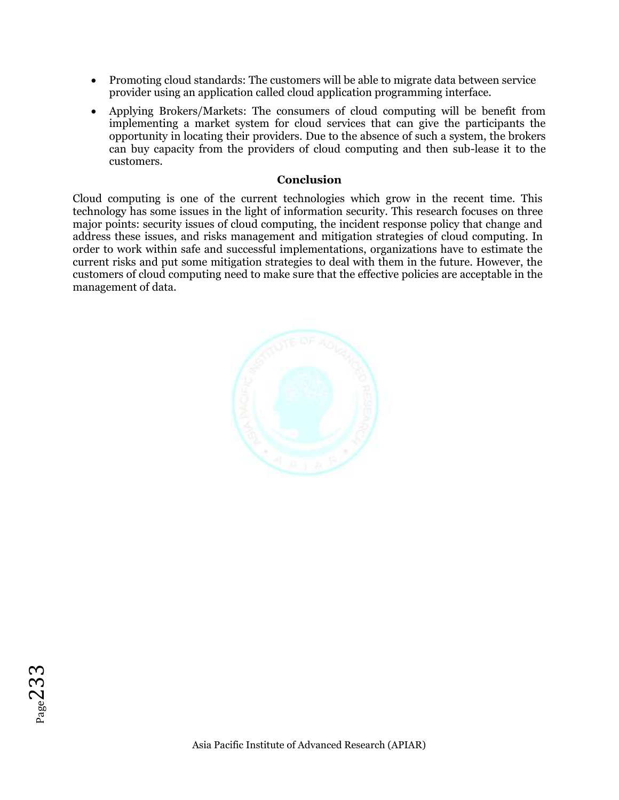- Promoting cloud standards: The customers will be able to migrate data between service provider using an application called cloud application programming interface.
- Applying Brokers/Markets: The consumers of cloud computing will be benefit from implementing a market system for cloud services that can give the participants the opportunity in locating their providers. Due to the absence of such a system, the brokers can buy capacity from the providers of cloud computing and then sub-lease it to the customers.

#### **Conclusion**

Cloud computing is one of the current technologies which grow in the recent time. This technology has some issues in the light of information security. This research focuses on three major points: security issues of cloud computing, the incident response policy that change and address these issues, and risks management and mitigation strategies of cloud computing. In order to work within safe and successful implementations, organizations have to estimate the current risks and put some mitigation strategies to deal with them in the future. However, the customers of cloud computing need to make sure that the effective policies are acceptable in the management of data.